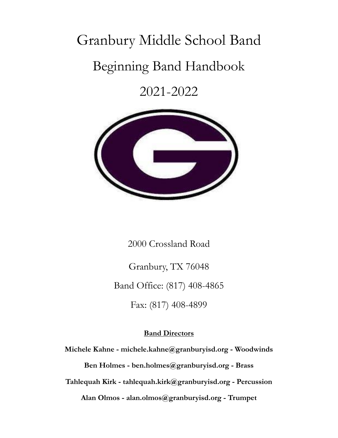# Granbury Middle School Band

## Beginning Band Handbook

2021-2022



2000 Crossland Road

Granbury, TX 76048 Band Office: (817) 408-4865 Fax: (817) 408-4899

#### **Band Directors**

**Michele Kahne - michele.kahne@granburyisd.org - Woodwinds Ben Holmes - ben.holmes@granburyisd.org - Brass Tahlequah Kirk - tahlequah.kirk@granburyisd.org - Percussion Alan Olmos - alan.olmos@granburyisd.org - Trumpet**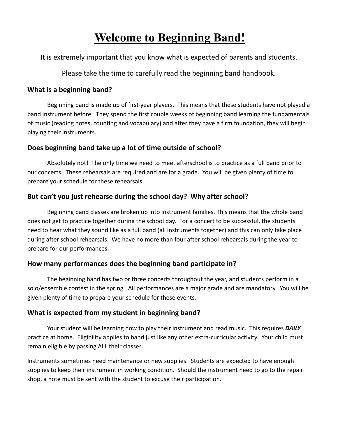## **Welcome to Beginning Band!**

It is extremely important that you know what is expected of parents and students.

Please take the time to carefully read the beginning band handbook.

#### **What is a beginning band?**

Beginning band is made up of first-year players. This means that these students have not played a band instrument before. They spend the first couple weeks of beginning band learning the fundamentals of music (reading notes, counting and vocabulary) and after they have a firm foundation, they will begin playing their instruments.

#### **Does beginning band take up a lot of time outside of school?**

Absolutely not! The only time we need to meet afterschool is to practice as a full band prior to our concerts. These rehearsals are required and are for a grade. You will be given plenty of time to prepare your schedule for these rehearsals.

#### **But can't you just rehearse during the school day? Why after school?**

Beginning band classes are broken up into instrument families. This means that the whole band does not get to practice together during the school day. For a concert to be successful, the students need to hear what they sound like as a full band (all instruments together) and this can only take place during after school rehearsals. We have no more than four after school rehearsals during the year to prepare for our performances.

#### **How many performances does the beginning band participate in?**

The beginning band has two or three concerts throughout the year, and students perform in a solo/ensemble contest in the spring. All performances are a major grade and are mandatory. You will be given plenty of time to prepare your schedule for these events.

#### **What is expected from my student in beginning band?**

Your student will be learning how to play their instrument and read music. This requires *DAILY* practice at home. Eligibility applies to band just like any other extra-curricular activity. Your child must remain eligible by passing ALL their classes.

Instruments sometimes need maintenance or new supplies. Students are expected to have enough supplies to keep their instrument in working condition. Should the instrument need to go to the repair shop, a note must be sent with the student to excuse their participation.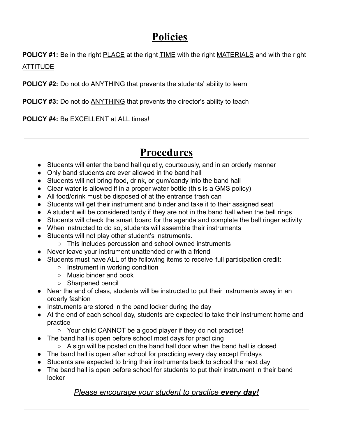## **Policies**

**POLICY #1:** Be in the right PLACE at the right TIME with the right MATERIALS and with the right ATTITUDE

**POLICY #2:** Do not do **ANYTHING** that prevents the students' ability to learn

**POLICY #3:** Do not do ANYTHING that prevents the director's ability to teach

**POLICY #4:** Be EXCELLENT at ALL times!

## **Procedures**

- Students will enter the band hall quietly, courteously, and in an orderly manner
- Only band students are ever allowed in the band hall
- Students will not bring food, drink, or gum/candy into the band hall
- Clear water is allowed if in a proper water bottle (this is a GMS policy)
- All food/drink must be disposed of at the entrance trash can
- Students will get their instrument and binder and take it to their assigned seat
- A student will be considered tardy if they are not in the band hall when the bell rings
- Students will check the smart board for the agenda and complete the bell ringer activity
- When instructed to do so, students will assemble their instruments
- Students will not play other student's instruments.
	- This includes percussion and school owned instruments
- Never leave your instrument unattended or with a friend
- Students must have ALL of the following items to receive full participation credit:
	- Instrument in working condition
	- Music binder and book
	- Sharpened pencil
- Near the end of class, students will be instructed to put their instruments away in an orderly fashion
- Instruments are stored in the band locker during the day
- At the end of each school day, students are expected to take their instrument home and practice
	- Your child CANNOT be a good player if they do not practice!
- The band hall is open before school most days for practicing
	- $\circ$  A sign will be posted on the band hall door when the band hall is closed
- The band hall is open after school for practicing every day except Fridays
- Students are expected to bring their instruments back to school the next day
- The band hall is open before school for students to put their instrument in their band locker

#### *Please encourage your student to practice every day!*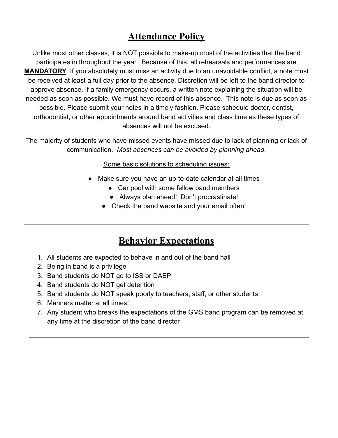### **Attendance Policy**

Unlike most other classes, it is NOT possible to make-up most of the activities that the band participates in throughout the year. Because of this, all rehearsals and performances are **MANDATORY**. If you absolutely must miss an activity due to an unavoidable conflict, a note must be received at least a full day prior to the absence. Discretion will be left to the band director to approve absence. If a family emergency occurs, a written note explaining the situation will be needed as soon as possible. We must have record of this absence. This note is due as soon as possible. Please submit your notes in a timely fashion. Please schedule doctor, dentist, orthodontist, or other appointments around band activities and class time as these types of absences will not be excused.

The majority of students who have missed events have missed due to lack of planning or lack of communication. *Most absences can be avoided by planning ahead*.

Some basic solutions to scheduling issues:

- Make sure you have an up-to-date calendar at all times
	- Car pool with some fellow band members
	- Always plan ahead! Don't procrastinate!
	- Check the band website and your email often!

#### **Behavior Expectations**

- 1. All students are expected to behave in and out of the band hall
- 2. Being in band is a privilege
- 3. Band students do NOT go to ISS or DAEP
- 4. Band students do NOT get detention
- 5. Band students do NOT speak poorly to teachers, staff, or other students
- 6. Manners matter at all times!
- 7. Any student who breaks the expectations of the GMS band program can be removed at any time at the discretion of the band director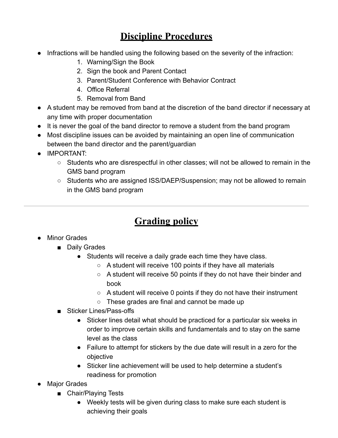## **Discipline Procedures**

- Infractions will be handled using the following based on the severity of the infraction:
	- 1. Warning/Sign the Book
	- 2. Sign the book and Parent Contact
	- 3. Parent/Student Conference with Behavior Contract
	- 4. Office Referral
	- 5. Removal from Band
- A student may be removed from band at the discretion of the band director if necessary at any time with proper documentation
- It is never the goal of the band director to remove a student from the band program
- Most discipline issues can be avoided by maintaining an open line of communication between the band director and the parent/guardian
- IMPORTANT:
	- Students who are disrespectful in other classes; will not be allowed to remain in the GMS band program
	- Students who are assigned ISS/DAEP/Suspension; may not be allowed to remain in the GMS band program

## **Grading policy**

- Minor Grades
	- Daily Grades
		- Students will receive a daily grade each time they have class.
			- A student will receive 100 points if they have all materials
			- A student will receive 50 points if they do not have their binder and book
			- A student will receive 0 points if they do not have their instrument
			- These grades are final and cannot be made up
	- Sticker Lines/Pass-offs
		- Sticker lines detail what should be practiced for a particular six weeks in order to improve certain skills and fundamentals and to stay on the same level as the class
		- Failure to attempt for stickers by the due date will result in a zero for the objective
		- Sticker line achievement will be used to help determine a student's readiness for promotion
- Major Grades
	- Chair/Playing Tests
		- Weekly tests will be given during class to make sure each student is achieving their goals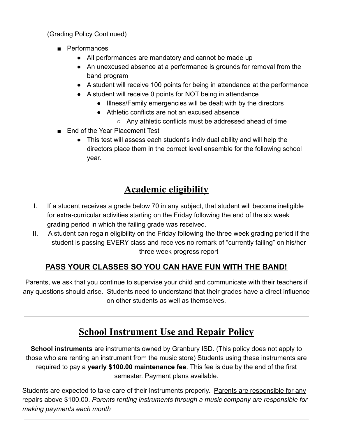(Grading Policy Continued)

- Performances
	- All performances are mandatory and cannot be made up
	- An unexcused absence at a performance is grounds for removal from the band program
	- A student will receive 100 points for being in attendance at the performance
	- A student will receive 0 points for NOT being in attendance
		- Illness/Family emergencies will be dealt with by the directors
		- Athletic conflicts are not an excused absence
			- Any athletic conflicts must be addressed ahead of time
- End of the Year Placement Test
	- This test will assess each student's individual ability and will help the directors place them in the correct level ensemble for the following school year.

## **Academic eligibility**

- I. If a student receives a grade below 70 in any subject, that student will become ineligible for extra-curricular activities starting on the Friday following the end of the six week grading period in which the failing grade was received.
- II. A student can regain eligibility on the Friday following the three week grading period if the student is passing EVERY class and receives no remark of "currently failing" on his/her three week progress report

#### **PASS YOUR CLASSES SO YOU CAN HAVE FUN WITH THE BAND!**

Parents, we ask that you continue to supervise your child and communicate with their teachers if any questions should arise. Students need to understand that their grades have a direct influence on other students as well as themselves.

## **School Instrument Use and Repair Policy**

**School instruments** are instruments owned by Granbury ISD. (This policy does not apply to those who are renting an instrument from the music store) Students using these instruments are required to pay a **yearly \$100.00 maintenance fee**. This fee is due by the end of the first semester. Payment plans available.

Students are expected to take care of their instruments properly. Parents are responsible for any repairs above \$100.00. *Parents renting instruments through a music company are responsible for making payments each month*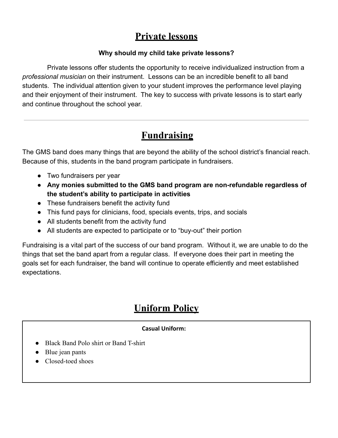### **Private lessons**

#### **Why should my child take private lessons?**

Private lessons offer students the opportunity to receive individualized instruction from a *professional musician* on their instrument. Lessons can be an incredible benefit to all band students. The individual attention given to your student improves the performance level playing and their enjoyment of their instrument. The key to success with private lessons is to start early and continue throughout the school year.

## **Fundraising**

The GMS band does many things that are beyond the ability of the school district's financial reach. Because of this, students in the band program participate in fundraisers.

- Two fundraisers per year
- **Any monies submitted to the GMS band program are non-refundable regardless of the student's ability to participate in activities**
- These fundraisers benefit the activity fund
- This fund pays for clinicians, food, specials events, trips, and socials
- All students benefit from the activity fund
- All students are expected to participate or to "buy-out" their portion

Fundraising is a vital part of the success of our band program. Without it, we are unable to do the things that set the band apart from a regular class. If everyone does their part in meeting the goals set for each fundraiser, the band will continue to operate efficiently and meet established expectations.

## **Uniform Policy**

#### **Casual Uniform:**

- Black Band Polo shirt or Band T-shirt
- Blue jean pants
- Closed-toed shoes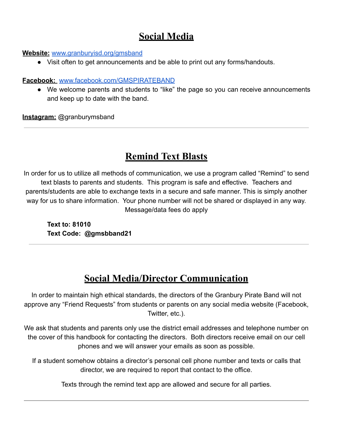### **Social Media**

#### **Website:** [www.granburyisd.org/gmsband](http://www.granburyisd.org/gmsband)

● Visit often to get announcements and be able to print out any forms/handouts.

#### **Facebook:** [www.facebook.com/GMSPIRATEBAND](http://www.facebook.com/GMSPIRATEBAND)

● We welcome parents and students to "like" the page so you can receive announcements and keep up to date with the band.

**Instagram:** @granburymsband

### **Remind Text Blasts**

In order for us to utilize all methods of communication, we use a program called "Remind" to send text blasts to parents and students. This program is safe and effective. Teachers and parents/students are able to exchange texts in a secure and safe manner. This is simply another way for us to share information. Your phone number will not be shared or displayed in any way. Message/data fees do apply

**Text to: 81010 Text Code: @gmsbband21**

## **Social Media/Director Communication**

In order to maintain high ethical standards, the directors of the Granbury Pirate Band will not approve any "Friend Requests" from students or parents on any social media website (Facebook, Twitter, etc.).

We ask that students and parents only use the district email addresses and telephone number on the cover of this handbook for contacting the directors. Both directors receive email on our cell phones and we will answer your emails as soon as possible.

If a student somehow obtains a director's personal cell phone number and texts or calls that director, we are required to report that contact to the office.

Texts through the remind text app are allowed and secure for all parties.